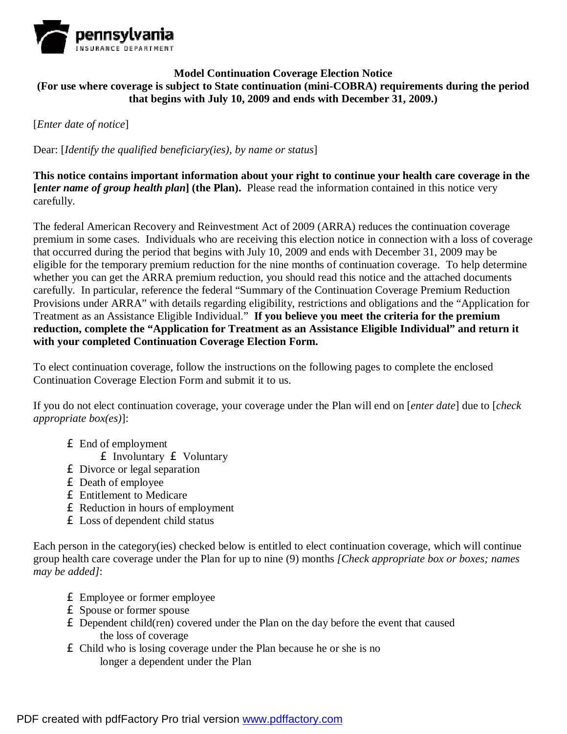

## **Model Continuation Coverage Election Notice (For use where coverage is subject to State continuation (mini-COBRA) requirements during the period that begins with July 10, 2009 and ends with December 31, 2009.)**

[*Enter date of notice*]

Dear: [*Identify the qualified beneficiary(ies), by name or status*]

**This notice contains important information about your right to continue your health care coverage in the [***enter name of group health plan***] (the Plan).** Please read the information contained in this notice very carefully.

The federal American Recovery and Reinvestment Act of 2009 (ARRA) reduces the continuation coverage premium in some cases. Individuals who are receiving this election notice in connection with a loss of coverage that occurred during the period that begins with July 10, 2009 and ends with December 31, 2009 may be eligible for the temporary premium reduction for the nine months of continuation coverage. To help determine whether you can get the ARRA premium reduction, you should read this notice and the attached documents carefully. In particular, reference the federal "Summary of the Continuation Coverage Premium Reduction Provisions under ARRA" with details regarding eligibility, restrictions and obligations and the "Application for Treatment as an Assistance Eligible Individual." **If you believe you meet the criteria for the premium reduction, complete the "Application for Treatment as an Assistance Eligible Individual" and return it with your completed Continuation Coverage Election Form.**

To elect continuation coverage, follow the instructions on the following pages to complete the enclosed Continuation Coverage Election Form and submit it to us.

If you do not elect continuation coverage, your coverage under the Plan will end on [*enter date*] due to [*check appropriate box(es)*]:

£ End of employment

£ Involuntary £ Voluntary

- £ Divorce or legal separation
- £ Death of employee
- £ Entitlement to Medicare
- £ Reduction in hours of employment
- £ Loss of dependent child status

Each person in the category(ies) checked below is entitled to elect continuation coverage, which will continue group health care coverage under the Plan for up to nine (9) months *[Check appropriate box or boxes; names may be added]*:

- £ Employee or former employee
- £ Spouse or former spouse
- $\mathbf \pounds$  Dependent child(ren) covered under the Plan on the day before the event that caused the loss of coverage
- £ Child who is losing coverage under the Plan because he or she is no longer a dependent under the Plan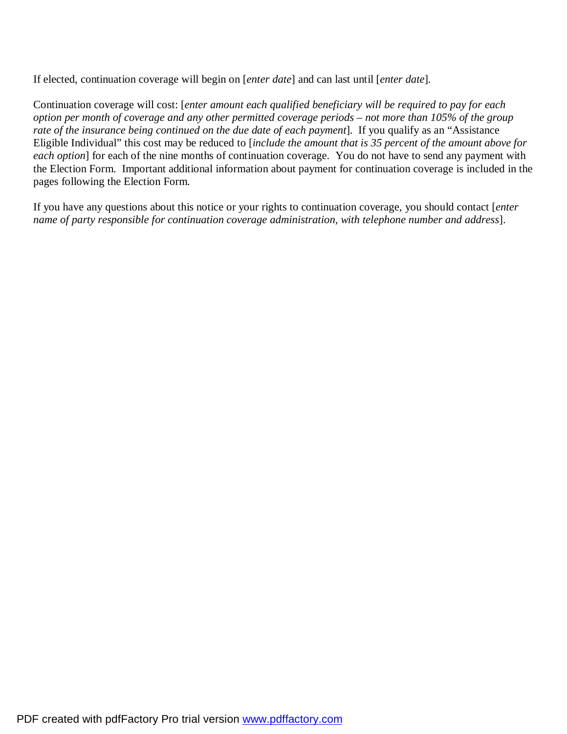If elected, continuation coverage will begin on [*enter date*] and can last until [*enter date*]*.* 

Continuation coverage will cost: [*enter amount each qualified beneficiary will be required to pay for each*  option per month of coverage and any other permitted coverage periods – not more than 105% of the group *rate of the insurance being continued on the due date of each payment*].If you qualify as an "Assistance Eligible Individual" this cost may be reduced to [*include the amount that is 35 percent of the amount above for each option*] for each of the nine months of continuation coverage. You do not have to send any payment with the Election Form. Important additional information about payment for continuation coverage is included in the pages following the Election Form.

If you have any questions about this notice or your rights to continuation coverage, you should contact [*enter name of party responsible for continuation coverage administration, with telephone number and address*].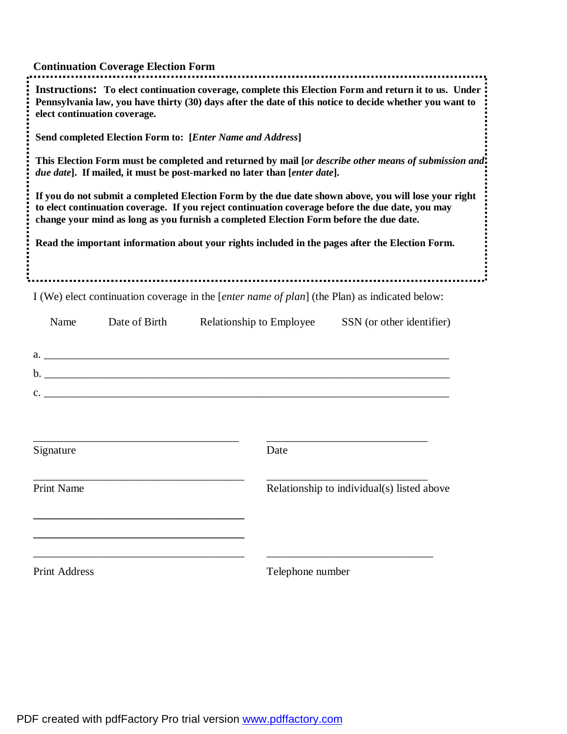|                              | <b>Continuation Coverage Election Form</b>                               |                          |                                                                                                                                                                                                                                                                                                    |
|------------------------------|--------------------------------------------------------------------------|--------------------------|----------------------------------------------------------------------------------------------------------------------------------------------------------------------------------------------------------------------------------------------------------------------------------------------------|
| elect continuation coverage. |                                                                          |                          | Instructions: To elect continuation coverage, complete this Election Form and return it to us. Under<br>Pennsylvania law, you have thirty (30) days after the date of this notice to decide whether you want to                                                                                    |
|                              | Send completed Election Form to: [Enter Name and Address]                |                          |                                                                                                                                                                                                                                                                                                    |
|                              | due date]. If mailed, it must be post-marked no later than [enter date]. |                          | This Election Form must be completed and returned by mail [or describe other means of submission and!                                                                                                                                                                                              |
|                              |                                                                          |                          | If you do not submit a completed Election Form by the due date shown above, you will lose your right<br>to elect continuation coverage. If you reject continuation coverage before the due date, you may<br>change your mind as long as you furnish a completed Election Form before the due date. |
|                              |                                                                          |                          | Read the important information about your rights included in the pages after the Election Form.                                                                                                                                                                                                    |
|                              |                                                                          |                          | I (We) elect continuation coverage in the [ <i>enter name of plan</i> ] (the Plan) as indicated below:                                                                                                                                                                                             |
| Name                         | Date of Birth                                                            | Relationship to Employee | SSN (or other identifier)                                                                                                                                                                                                                                                                          |
|                              | $a.$ $a.$                                                                |                          |                                                                                                                                                                                                                                                                                                    |
|                              | $\mathbf{b}$ .                                                           |                          |                                                                                                                                                                                                                                                                                                    |
|                              | $c.$ $\overline{\phantom{a}}$                                            |                          |                                                                                                                                                                                                                                                                                                    |
| Signature                    |                                                                          | Date                     |                                                                                                                                                                                                                                                                                                    |
| <b>Print Name</b>            |                                                                          |                          | Relationship to individual(s) listed above                                                                                                                                                                                                                                                         |
|                              |                                                                          |                          |                                                                                                                                                                                                                                                                                                    |
| <b>Print Address</b>         |                                                                          | Telephone number         |                                                                                                                                                                                                                                                                                                    |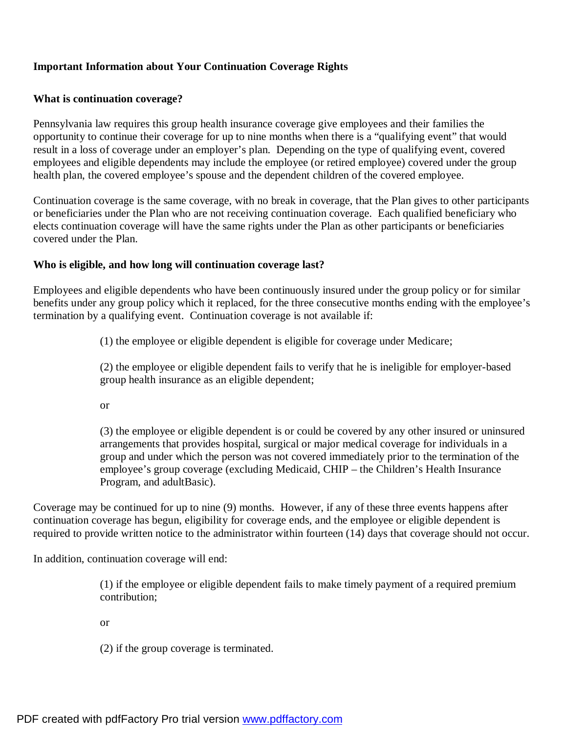## **Important Information about Your Continuation Coverage Rights**

#### **What is continuation coverage?**

Pennsylvania law requires this group health insurance coverage give employees and their families the opportunity to continue their coverage for up to nine months when there is a "qualifying event" that would result in a loss of coverage under an employer's plan. Depending on the type of qualifying event, covered employees and eligible dependents may include the employee (or retired employee) covered under the group health plan, the covered employee's spouse and the dependent children of the covered employee.

Continuation coverage is the same coverage, with no break in coverage, that the Plan gives to other participants or beneficiaries under the Plan who are not receiving continuation coverage. Each qualified beneficiary who elects continuation coverage will have the same rights under the Plan as other participants or beneficiaries covered under the Plan.

#### **Who is eligible, and how long will continuation coverage last?**

Employees and eligible dependents who have been continuously insured under the group policy or for similar benefits under any group policy which it replaced, for the three consecutive months ending with the employee's termination by a qualifying event. Continuation coverage is not available if:

(1) the employee or eligible dependent is eligible for coverage under Medicare;

(2) the employee or eligible dependent fails to verify that he is ineligible for employer-based group health insurance as an eligible dependent;

or

(3) the employee or eligible dependent is or could be covered by any other insured or uninsured arrangements that provides hospital, surgical or major medical coverage for individuals in a group and under which the person was not covered immediately prior to the termination of the employee's group coverage (excluding Medicaid, CHIP – the Children's Health Insurance Program, and adultBasic).

Coverage may be continued for up to nine (9) months. However, if any of these three events happens after continuation coverage has begun, eligibility for coverage ends, and the employee or eligible dependent is required to provide written notice to the administrator within fourteen (14) days that coverage should not occur.

In addition, continuation coverage will end:

(1) if the employee or eligible dependent fails to make timely payment of a required premium contribution;

or

(2) if the group coverage is terminated.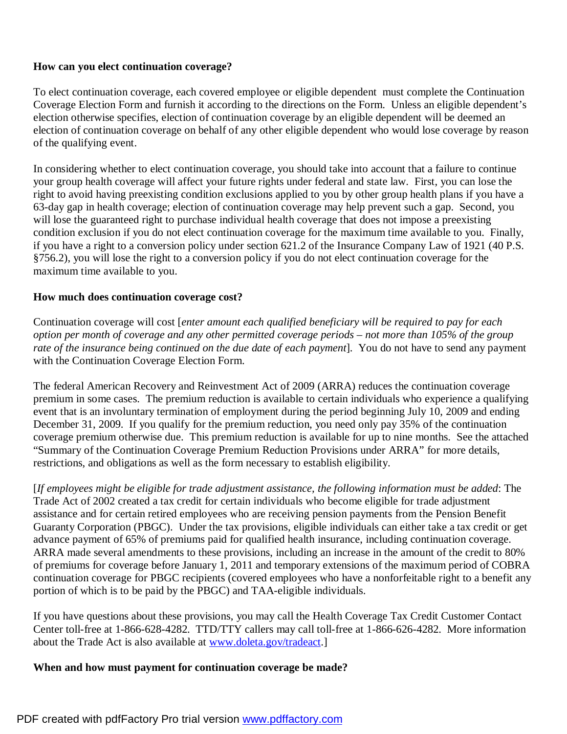## **How can you elect continuation coverage?**

To elect continuation coverage, each covered employee or eligible dependent must complete the Continuation Coverage Election Form and furnish it according to the directions on the Form. Unless an eligible dependent's election otherwise specifies, election of continuation coverage by an eligible dependent will be deemed an election of continuation coverage on behalf of any other eligible dependent who would lose coverage by reason of the qualifying event.

In considering whether to elect continuation coverage, you should take into account that a failure to continue your group health coverage will affect your future rights under federal and state law. First, you can lose the right to avoid having preexisting condition exclusions applied to you by other group health plans if you have a 63-day gap in health coverage; election of continuation coverage may help prevent such a gap. Second, you will lose the guaranteed right to purchase individual health coverage that does not impose a preexisting condition exclusion if you do not elect continuation coverage for the maximum time available to you. Finally, if you have a right to a conversion policy under section 621.2 of the Insurance Company Law of 1921 (40 P.S. §756.2), you will lose the right to a conversion policy if you do not elect continuation coverage for the maximum time available to you.

#### **How much does continuation coverage cost?**

Continuation coverage will cost [*enter amount each qualified beneficiary will be required to pay for each*  option per month of coverage and any other permitted coverage periods – not more than 105% of the group *rate of the insurance being continued on the due date of each payment*].You do not have to send any payment with the Continuation Coverage Election Form.

The federal American Recovery and Reinvestment Act of 2009 (ARRA) reduces the continuation coverage premium in some cases. The premium reduction is available to certain individuals who experience a qualifying event that is an involuntary termination of employment during the period beginning July 10, 2009 and ending December 31, 2009. If you qualify for the premium reduction, you need only pay 35% of the continuation coverage premium otherwise due. This premium reduction is available for up to nine months. See the attached "Summary of the Continuation Coverage Premium Reduction Provisions under ARRA" for more details, restrictions, and obligations as well as the form necessary to establish eligibility.

[*If employees might be eligible for trade adjustment assistance, the following information must be added*: The Trade Act of 2002 created a tax credit for certain individuals who become eligible for trade adjustment assistance and for certain retired employees who are receiving pension payments from the Pension Benefit Guaranty Corporation (PBGC). Under the tax provisions, eligible individuals can either take a tax credit or get advance payment of 65% of premiums paid for qualified health insurance, including continuation coverage. ARRA made several amendments to these provisions, including an increase in the amount of the credit to 80% of premiums for coverage before January 1, 2011 and temporary extensions of the maximum period of COBRA continuation coverage for PBGC recipients (covered employees who have a nonforfeitable right to a benefit any portion of which is to be paid by the PBGC) and TAA-eligible individuals.

If you have questions about these provisions, you may call the Health Coverage Tax Credit Customer Contact Center toll-free at 1-866-628-4282. TTD/TTY callers may call toll-free at 1-866-626-4282. More information about the Trade Act is also available at [www.doleta.gov/tradeact.](http://www.doleta.gov/tradeact)]

#### **When and how must payment for continuation coverage be made?**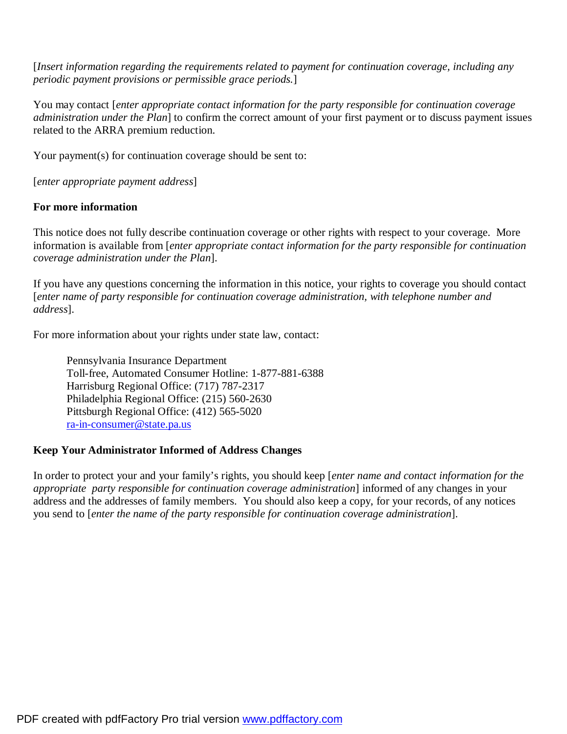[*Insert information regarding the requirements related to payment for continuation coverage, including any periodic payment provisions or permissible grace periods.*]

You may contact [*enter appropriate contact information for the party responsible for continuation coverage administration under the Plan*] to confirm the correct amount of your first payment or to discuss payment issues related to the ARRA premium reduction.

Your payment(s) for continuation coverage should be sent to:

[*enter appropriate payment address*]

## **For more information**

This notice does not fully describe continuation coverage or other rights with respect to your coverage. More information is available from [*enter appropriate contact information for the party responsible for continuation coverage administration under the Plan*].

If you have any questions concerning the information in this notice, your rights to coverage you should contact [*enter name of party responsible for continuation coverage administration, with telephone number and address*].

For more information about your rights under state law, contact:

Pennsylvania Insurance Department Toll-free, Automated Consumer Hotline: 1-877-881-6388 Harrisburg Regional Office: (717) 787-2317 Philadelphia Regional Office: (215) 560-2630 Pittsburgh Regional Office: (412) 565-5020 [ra-in-consumer@state.pa.us](mailto:ra-in-consumer@state.pa.us)

## **Keep Your Administrator Informed of Address Changes**

In order to protect your and your family's rights, you should keep [*enter name and contact information for the appropriate party responsible for continuation coverage administration*] informed of any changes in your address and the addresses of family members. You should also keep a copy, for your records, of any notices you send to [*enter the name of the party responsible for continuation coverage administration*].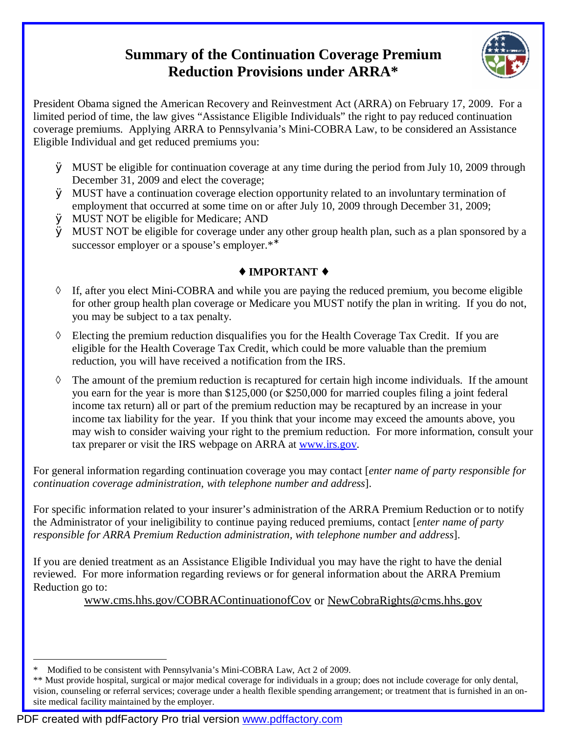# **Summary of the Continuation Coverage Premium Reduction Provisions under ARRA\***



President Obama signed the American Recovery and Reinvestment Act (ARRA) on February 17, 2009. For a limited period of time, the law gives "Assistance Eligible Individuals" the right to pay reduced continuation coverage premiums. Applying ARRA to Pennsylvania's Mini-COBRA Law, to be considered an Assistance Eligible Individual and get reduced premiums you:

- Ø MUST be eligible for continuation coverage at any time during the period from July 10, 2009 through December 31, 2009 and elect the coverage;
- Ø MUST have a continuation coverage election opportunity related to an involuntary termination of employment that occurred at some time on or after July 10, 2009 through December 31, 2009;
- Ø MUST NOT be eligible for Medicare; AND
- Ø MUST NOT be eligible for coverage under any other group health plan, such as a plan sponsored by a successor employer or a spouse's employer.\*<sup>\*</sup>

## **¨ IMPORTANT ¨**

- ◊ If, after you elect Mini-COBRA and while you are paying the reduced premium, you become eligible for other group health plan coverage or Medicare you MUST notify the plan in writing. If you do not, you may be subject to a tax penalty.
- ◊ Electing the premium reduction disqualifies you for the Health Coverage Tax Credit. If you are eligible for the Health Coverage Tax Credit, which could be more valuable than the premium reduction, you will have received a notification from the IRS.
- ◊ The amount of the premium reduction is recaptured for certain high income individuals. If the amount you earn for the year is more than \$125,000 (or \$250,000 for married couples filing a joint federal income tax return) all or part of the premium reduction may be recaptured by an increase in your income tax liability for the year. If you think that your income may exceed the amounts above, you may wish to consider waiving your right to the premium reduction. For more information, consult your tax preparer or visit the IRS webpage on ARRA at [www.irs.gov](http://www.irs.gov).

For general information regarding continuation coverage you may contact [*enter name of party responsible for continuation coverage administration, with telephone number and address*].

For specific information related to your insurer's administration of the ARRA Premium Reduction or to notify the Administrator of your ineligibility to continue paying reduced premiums, contact [*enter name of party responsible for ARRA Premium Reduction administration, with telephone number and address*].

If you are denied treatment as an Assistance Eligible Individual you may have the right to have the denial reviewed. For more information regarding reviews or for general information about the ARRA Premium Reduction go to:

[www.cms.hhs.gov/COBRAContinuationofCov](http://www.cms.hhs.gov/COBRAContinuationofCov) or [NewCobraRights@cms.hhs.gov](mailto:NewCobraRights@cms.hhs.gov)

 $\overline{a}$ Modified to be consistent with Pennsylvania's Mini-COBRA Law, Act 2 of 2009.

<sup>\*\*</sup> Must provide hospital, surgical or major medical coverage for individuals in a group; does not include coverage for only dental, vision, counseling or referral services; coverage under a health flexible spending arrangement; or treatment that is furnished in an onsite medical facility maintained by the employer.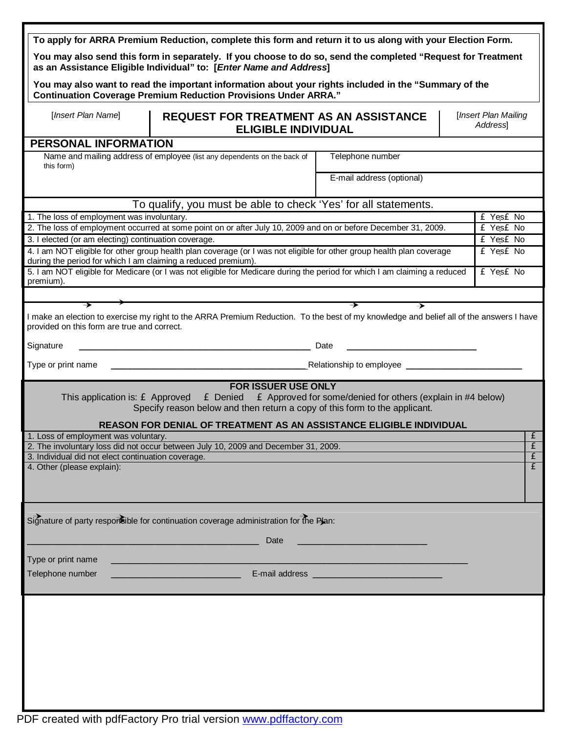|                                                               | To apply for ARRA Premium Reduction, complete this form and return it to us along with your Election Form.                                                                         |                                                             |  |           |                         |
|---------------------------------------------------------------|------------------------------------------------------------------------------------------------------------------------------------------------------------------------------------|-------------------------------------------------------------|--|-----------|-------------------------|
|                                                               | You may also send this form in separately. If you choose to do so, send the completed "Request for Treatment<br>as an Assistance Eligible Individual" to: [Enter Name and Address] |                                                             |  |           |                         |
|                                                               | You may also want to read the important information about your rights included in the "Summary of the<br><b>Continuation Coverage Premium Reduction Provisions Under ARRA."</b>    |                                                             |  |           |                         |
| [Insert Plan Name]                                            | [Insert Plan Mailing<br><b>REQUEST FOR TREATMENT AS AN ASSISTANCE</b><br>Address<br><b>ELIGIBLE INDIVIDUAL</b>                                                                     |                                                             |  |           |                         |
| <b>PERSONAL INFORMATION</b>                                   |                                                                                                                                                                                    |                                                             |  |           |                         |
| this form)                                                    | Name and mailing address of employee (list any dependents on the back of                                                                                                           | Telephone number                                            |  |           |                         |
|                                                               |                                                                                                                                                                                    | E-mail address (optional)                                   |  |           |                         |
|                                                               | To qualify, you must be able to check 'Yes' for all statements.                                                                                                                    |                                                             |  |           |                         |
| 1. The loss of employment was involuntary.                    |                                                                                                                                                                                    |                                                             |  | £ Yes£ No |                         |
|                                                               | 2. The loss of employment occurred at some point on or after July 10, 2009 and on or before December 31, 2009.                                                                     |                                                             |  | £ Yes£ No |                         |
| 3. I elected (or am electing) continuation coverage.          |                                                                                                                                                                                    |                                                             |  | £ Yes£ No |                         |
| during the period for which I am claiming a reduced premium). | 4. I am NOT eligible for other group health plan coverage (or I was not eligible for other group health plan coverage                                                              |                                                             |  | £ Yes£ No |                         |
| premium).                                                     | 5. I am NOT eligible for Medicare (or I was not eligible for Medicare during the period for which I am claiming a reduced                                                          |                                                             |  | £ Yes£ No |                         |
|                                                               |                                                                                                                                                                                    |                                                             |  |           |                         |
| ><br>provided on this form are true and correct.              | I make an election to exercise my right to the ARRA Premium Reduction. To the best of my knowledge and belief all of the answers I have                                            | $\rightarrow$                                               |  |           |                         |
| Signature                                                     |                                                                                                                                                                                    | Date                                                        |  |           |                         |
| Type or print name                                            | the control of the control of the control of the control of the control of                                                                                                         | Relationship to employee <b>Relationship</b>                |  |           |                         |
|                                                               | <b>FOR ISSUER USE ONLY</b>                                                                                                                                                         |                                                             |  |           |                         |
|                                                               | This application is: $\mathbf{\pounds}$ Approved $\mathbf{\pounds}$ Denied<br>Specify reason below and then return a copy of this form to the applicant.                           | £ Approved for some/denied for others (explain in #4 below) |  |           |                         |
|                                                               | <b>REASON FOR DENIAL OF TREATMENT AS AN ASSISTANCE ELIGIBLE INDIVIDUAL</b>                                                                                                         |                                                             |  |           |                         |
| 1. Loss of employment was voluntary.                          |                                                                                                                                                                                    |                                                             |  |           | $\overline{\mathbf{f}}$ |
| 3. Individual did not elect continuation coverage.            | 2. The involuntary loss did not occur between July 10, 2009 and December 31, 2009.                                                                                                 |                                                             |  |           | $\frac{f}{f}$           |
| 4. Other (please explain):                                    |                                                                                                                                                                                    |                                                             |  |           | $\overline{\mathbf{f}}$ |
|                                                               |                                                                                                                                                                                    |                                                             |  |           |                         |
|                                                               | Signature of party responsible for continuation coverage administration for the Plan:                                                                                              |                                                             |  |           |                         |
|                                                               |                                                                                                                                                                                    |                                                             |  |           |                         |
|                                                               | Date                                                                                                                                                                               |                                                             |  |           |                         |
| Type or print name                                            |                                                                                                                                                                                    |                                                             |  |           |                         |
| Telephone number                                              |                                                                                                                                                                                    |                                                             |  |           |                         |
|                                                               |                                                                                                                                                                                    |                                                             |  |           |                         |
|                                                               |                                                                                                                                                                                    |                                                             |  |           |                         |
|                                                               |                                                                                                                                                                                    |                                                             |  |           |                         |
|                                                               |                                                                                                                                                                                    |                                                             |  |           |                         |
|                                                               |                                                                                                                                                                                    |                                                             |  |           |                         |
|                                                               |                                                                                                                                                                                    |                                                             |  |           |                         |
|                                                               |                                                                                                                                                                                    |                                                             |  |           |                         |
|                                                               |                                                                                                                                                                                    |                                                             |  |           |                         |
|                                                               |                                                                                                                                                                                    |                                                             |  |           |                         |
|                                                               |                                                                                                                                                                                    |                                                             |  |           |                         |
|                                                               |                                                                                                                                                                                    |                                                             |  |           |                         |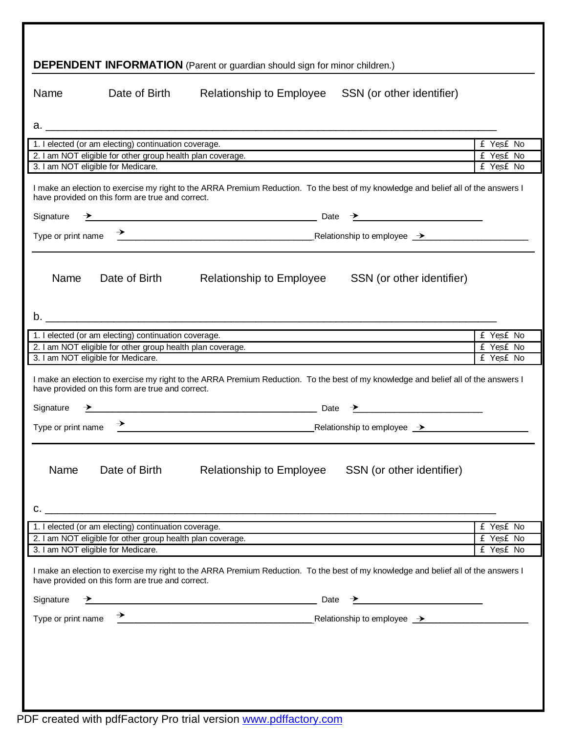| <b>DEPENDENT INFORMATION</b> (Parent or guardian should sign for minor children.)                                                                                                      |               |                                                                                                                                                                                                                                                                                                                                                                                                                                   |           |  |  |
|----------------------------------------------------------------------------------------------------------------------------------------------------------------------------------------|---------------|-----------------------------------------------------------------------------------------------------------------------------------------------------------------------------------------------------------------------------------------------------------------------------------------------------------------------------------------------------------------------------------------------------------------------------------|-----------|--|--|
| Name                                                                                                                                                                                   | Date of Birth | Relationship to Employee SSN (or other identifier)                                                                                                                                                                                                                                                                                                                                                                                |           |  |  |
|                                                                                                                                                                                        |               |                                                                                                                                                                                                                                                                                                                                                                                                                                   |           |  |  |
| 1. I elected (or am electing) continuation coverage.                                                                                                                                   |               |                                                                                                                                                                                                                                                                                                                                                                                                                                   | £ Yes£ No |  |  |
| 2. I am NOT eligible for other group health plan coverage.                                                                                                                             |               |                                                                                                                                                                                                                                                                                                                                                                                                                                   | £ Yes£ No |  |  |
| 3. I am NOT eligible for Medicare.                                                                                                                                                     |               |                                                                                                                                                                                                                                                                                                                                                                                                                                   | £ Yes£ No |  |  |
| have provided on this form are true and correct.                                                                                                                                       |               | I make an election to exercise my right to the ARRA Premium Reduction. To the best of my knowledge and belief all of the answers I                                                                                                                                                                                                                                                                                                |           |  |  |
| Signature                                                                                                                                                                              |               | $\rightarrow$ Date $\rightarrow$ Date $\rightarrow$ Date $\rightarrow$ Date $\rightarrow$ Date $\rightarrow$ Date $\rightarrow$ Date $\rightarrow$ Date $\rightarrow$ Date $\rightarrow$ Date $\rightarrow$ Date $\rightarrow$ Date $\rightarrow$ Date $\rightarrow$ Date $\rightarrow$ Date $\rightarrow$ Date $\rightarrow$ Date $\rightarrow$ Date $\rightarrow$ Date $\rightarrow$ Date $\rightarrow$ Date $\rightarrow$ Date |           |  |  |
|                                                                                                                                                                                        |               |                                                                                                                                                                                                                                                                                                                                                                                                                                   |           |  |  |
| Name                                                                                                                                                                                   | Date of Birth | Relationship to Employee SSN (or other identifier)                                                                                                                                                                                                                                                                                                                                                                                |           |  |  |
|                                                                                                                                                                                        |               |                                                                                                                                                                                                                                                                                                                                                                                                                                   |           |  |  |
| 1. I elected (or am electing) continuation coverage.                                                                                                                                   |               |                                                                                                                                                                                                                                                                                                                                                                                                                                   | £ Yes£ No |  |  |
| 2. I am NOT eligible for other group health plan coverage.                                                                                                                             |               |                                                                                                                                                                                                                                                                                                                                                                                                                                   | £ Yes£ No |  |  |
| 3. I am NOT eligible for Medicare.                                                                                                                                                     |               |                                                                                                                                                                                                                                                                                                                                                                                                                                   | £ Yes£ No |  |  |
| have provided on this form are true and correct.                                                                                                                                       |               | I make an election to exercise my right to the ARRA Premium Reduction. To the best of my knowledge and belief all of the answers I                                                                                                                                                                                                                                                                                                |           |  |  |
| Signature                                                                                                                                                                              |               | $\overbrace{\phantom{xxxxx}}$ Date $\overbrace{\phantom{xxxxx}}$                                                                                                                                                                                                                                                                                                                                                                  |           |  |  |
| Type or print name                                                                                                                                                                     |               | → Relationship to employee → Relationship to employee → Relationship to employee →                                                                                                                                                                                                                                                                                                                                                |           |  |  |
|                                                                                                                                                                                        |               |                                                                                                                                                                                                                                                                                                                                                                                                                                   |           |  |  |
| Name                                                                                                                                                                                   | Date of Birth | Relationship to Employee<br>SSN (or other identifier)                                                                                                                                                                                                                                                                                                                                                                             |           |  |  |
| 1. I elected (or am electing) continuation coverage.                                                                                                                                   |               |                                                                                                                                                                                                                                                                                                                                                                                                                                   | £ Yes£ No |  |  |
|                                                                                                                                                                                        |               | 2. I am NOT eligible for other group health plan coverage.                                                                                                                                                                                                                                                                                                                                                                        | £ Yes£ No |  |  |
| 3. I am NOT eligible for Medicare.                                                                                                                                                     |               |                                                                                                                                                                                                                                                                                                                                                                                                                                   | £ Yes£ No |  |  |
| I make an election to exercise my right to the ARRA Premium Reduction. To the best of my knowledge and belief all of the answers I<br>have provided on this form are true and correct. |               |                                                                                                                                                                                                                                                                                                                                                                                                                                   |           |  |  |
| Signature                                                                                                                                                                              |               | $\overline{\phantom{a}}$ Date $\overline{\phantom{a}}$ Date $\overline{\phantom{a}}$                                                                                                                                                                                                                                                                                                                                              |           |  |  |
|                                                                                                                                                                                        |               | Type or print name $\rightarrow$ Relationship to employee $\rightarrow$                                                                                                                                                                                                                                                                                                                                                           |           |  |  |
|                                                                                                                                                                                        |               |                                                                                                                                                                                                                                                                                                                                                                                                                                   |           |  |  |
|                                                                                                                                                                                        |               |                                                                                                                                                                                                                                                                                                                                                                                                                                   |           |  |  |